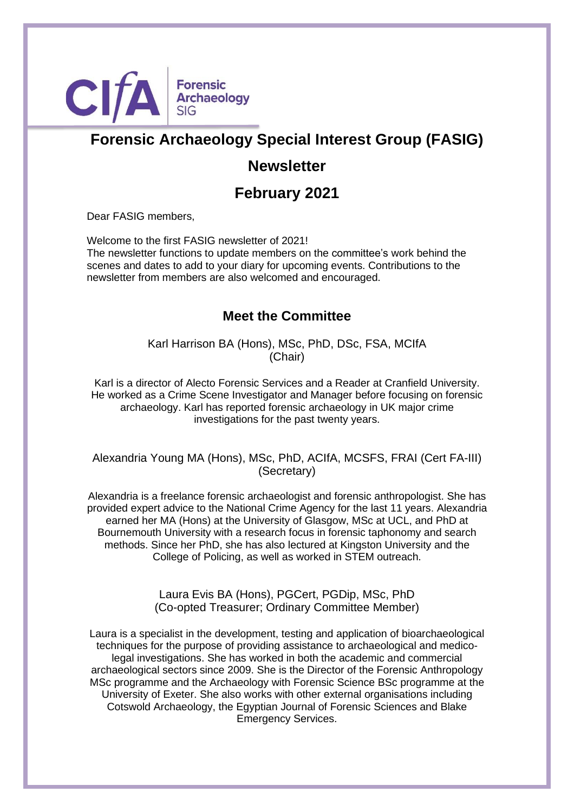

# **Forensic Archaeology Special Interest Group (FASIG)**

# **Newsletter**

# **February 2021**

Dear FASIG members,

Welcome to the first FASIG newsletter of 2021! The newsletter functions to update members on the committee's work behind the scenes and dates to add to your diary for upcoming events. Contributions to the newsletter from members are also welcomed and encouraged.

## **Meet the Committee**

Karl Harrison BA (Hons), MSc, PhD, DSc, FSA, MCIfA (Chair)

Karl is a director of Alecto Forensic Services and a Reader at Cranfield University. He worked as a Crime Scene Investigator and Manager before focusing on forensic archaeology. Karl has reported forensic archaeology in UK major crime investigations for the past twenty years.

Alexandria Young MA (Hons), MSc, PhD, ACIfA, MCSFS, FRAI (Cert FA-III) (Secretary)

Alexandria is a freelance forensic archaeologist and forensic anthropologist. She has provided expert advice to the National Crime Agency for the last 11 years. Alexandria earned her MA (Hons) at the University of Glasgow, MSc at UCL, and PhD at Bournemouth University with a research focus in forensic taphonomy and search methods. Since her PhD, she has also lectured at Kingston University and the College of Policing, as well as worked in STEM outreach.

> Laura Evis BA (Hons), PGCert, PGDip, MSc, PhD (Co-opted Treasurer; Ordinary Committee Member)

Laura is a specialist in the development, testing and application of bioarchaeological techniques for the purpose of providing assistance to archaeological and medicolegal investigations. She has worked in both the academic and commercial archaeological sectors since 2009. She is the Director of the Forensic Anthropology MSc programme and the Archaeology with Forensic Science BSc programme at the University of Exeter. She also works with other external organisations including Cotswold Archaeology, the Egyptian Journal of Forensic Sciences and Blake Emergency Services.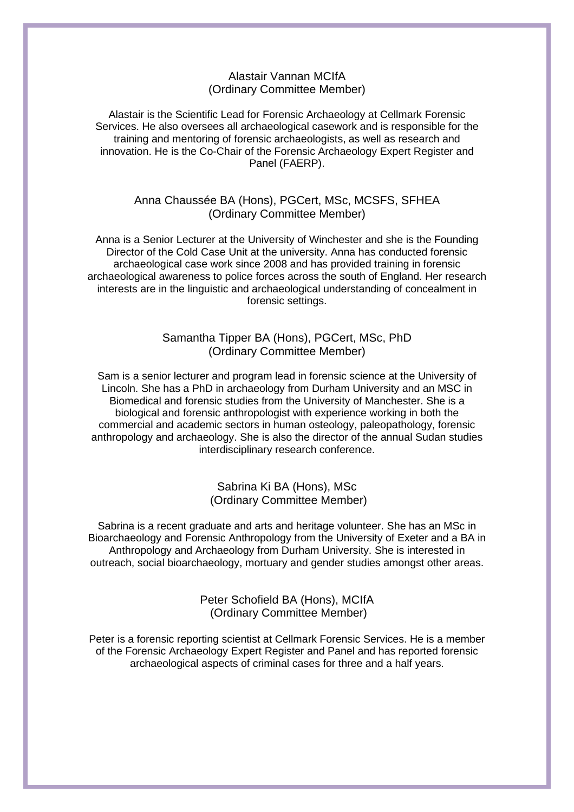#### Alastair Vannan MCIfA (Ordinary Committee Member)

Alastair is the Scientific Lead for Forensic Archaeology at Cellmark Forensic Services. He also oversees all archaeological casework and is responsible for the training and mentoring of forensic archaeologists, as well as research and innovation. He is the Co-Chair of the Forensic Archaeology Expert Register and Panel (FAERP).

#### Anna Chaussée BA (Hons), PGCert, MSc, MCSFS, SFHEA (Ordinary Committee Member)

Anna is a Senior Lecturer at the University of Winchester and she is the Founding Director of the Cold Case Unit at the university. Anna has conducted forensic archaeological case work since 2008 and has provided training in forensic archaeological awareness to police forces across the south of England. Her research interests are in the linguistic and archaeological understanding of concealment in forensic settings.

#### Samantha Tipper BA (Hons), PGCert, MSc, PhD (Ordinary Committee Member)

Sam is a senior lecturer and program lead in forensic science at the University of Lincoln. She has a PhD in archaeology from Durham University and an MSC in Biomedical and forensic studies from the University of Manchester. She is a biological and forensic anthropologist with experience working in both the commercial and academic sectors in human osteology, paleopathology, forensic anthropology and archaeology. She is also the director of the annual Sudan studies interdisciplinary research conference.

> Sabrina Ki BA (Hons), MSc (Ordinary Committee Member)

Sabrina is a recent graduate and arts and heritage volunteer. She has an MSc in Bioarchaeology and Forensic Anthropology from the University of Exeter and a BA in Anthropology and Archaeology from Durham University. She is interested in outreach, social bioarchaeology, mortuary and gender studies amongst other areas.

> Peter Schofield BA (Hons), MCIfA (Ordinary Committee Member)

Peter is a forensic reporting scientist at Cellmark Forensic Services. He is a member of the Forensic Archaeology Expert Register and Panel and has reported forensic archaeological aspects of criminal cases for three and a half years.